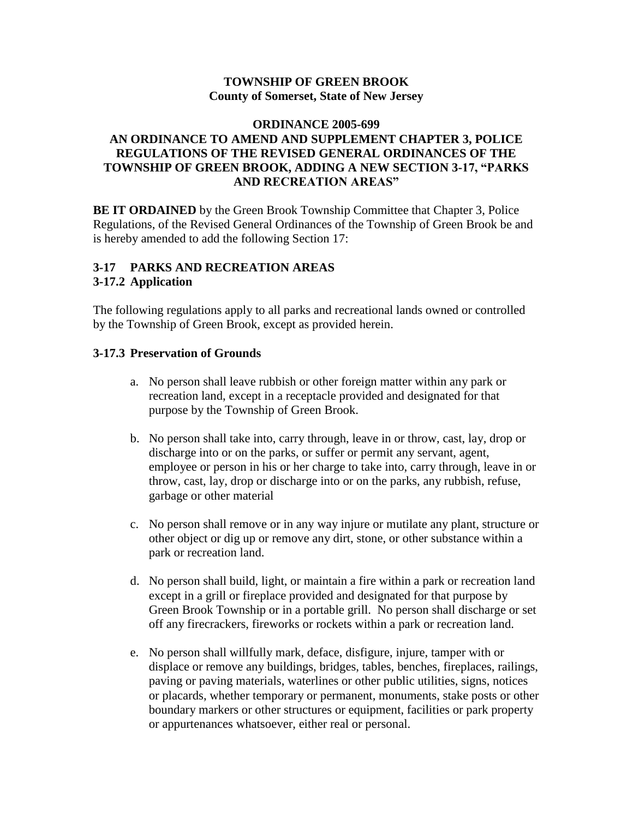#### **TOWNSHIP OF GREEN BROOK County of Somerset, State of New Jersey**

# **ORDINANCE 2005-699 AN ORDINANCE TO AMEND AND SUPPLEMENT CHAPTER 3, POLICE REGULATIONS OF THE REVISED GENERAL ORDINANCES OF THE TOWNSHIP OF GREEN BROOK, ADDING A NEW SECTION 3-17, "PARKS AND RECREATION AREAS"**

**BE IT ORDAINED** by the Green Brook Township Committee that Chapter 3, Police Regulations, of the Revised General Ordinances of the Township of Green Brook be and is hereby amended to add the following Section 17:

# **3-17 PARKS AND RECREATION AREAS 3-17.2 Application**

The following regulations apply to all parks and recreational lands owned or controlled by the Township of Green Brook, except as provided herein.

# **3-17.3 Preservation of Grounds**

- a. No person shall leave rubbish or other foreign matter within any park or recreation land, except in a receptacle provided and designated for that purpose by the Township of Green Brook.
- b. No person shall take into, carry through, leave in or throw, cast, lay, drop or discharge into or on the parks, or suffer or permit any servant, agent, employee or person in his or her charge to take into, carry through, leave in or throw, cast, lay, drop or discharge into or on the parks, any rubbish, refuse, garbage or other material
- c. No person shall remove or in any way injure or mutilate any plant, structure or other object or dig up or remove any dirt, stone, or other substance within a park or recreation land.
- d. No person shall build, light, or maintain a fire within a park or recreation land except in a grill or fireplace provided and designated for that purpose by Green Brook Township or in a portable grill. No person shall discharge or set off any firecrackers, fireworks or rockets within a park or recreation land.
- e. No person shall willfully mark, deface, disfigure, injure, tamper with or displace or remove any buildings, bridges, tables, benches, fireplaces, railings, paving or paving materials, waterlines or other public utilities, signs, notices or placards, whether temporary or permanent, monuments, stake posts or other boundary markers or other structures or equipment, facilities or park property or appurtenances whatsoever, either real or personal.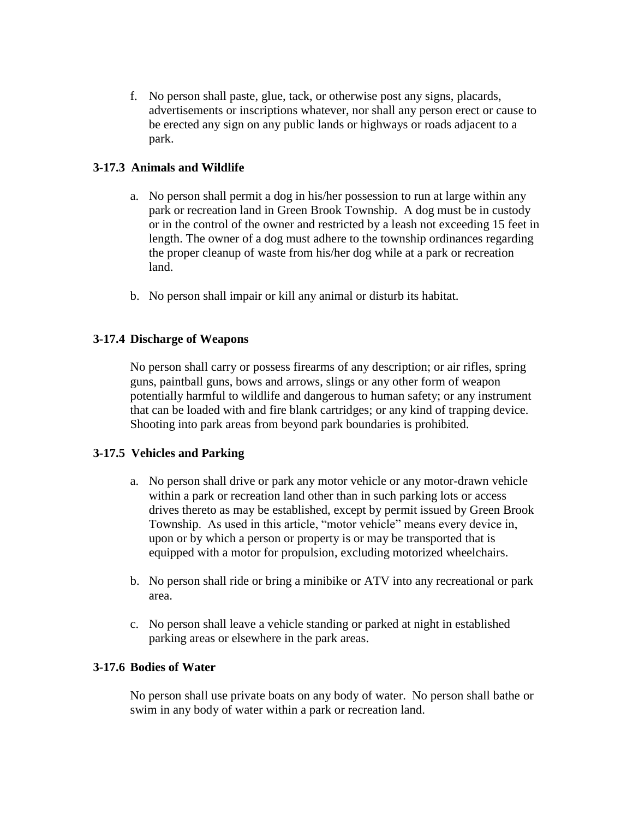f. No person shall paste, glue, tack, or otherwise post any signs, placards, advertisements or inscriptions whatever, nor shall any person erect or cause to be erected any sign on any public lands or highways or roads adjacent to a park.

# **3-17.3 Animals and Wildlife**

- a. No person shall permit a dog in his/her possession to run at large within any park or recreation land in Green Brook Township. A dog must be in custody or in the control of the owner and restricted by a leash not exceeding 15 feet in length. The owner of a dog must adhere to the township ordinances regarding the proper cleanup of waste from his/her dog while at a park or recreation land.
- b. No person shall impair or kill any animal or disturb its habitat.

# **3-17.4 Discharge of Weapons**

No person shall carry or possess firearms of any description; or air rifles, spring guns, paintball guns, bows and arrows, slings or any other form of weapon potentially harmful to wildlife and dangerous to human safety; or any instrument that can be loaded with and fire blank cartridges; or any kind of trapping device. Shooting into park areas from beyond park boundaries is prohibited.

#### **3-17.5 Vehicles and Parking**

- a. No person shall drive or park any motor vehicle or any motor-drawn vehicle within a park or recreation land other than in such parking lots or access drives thereto as may be established, except by permit issued by Green Brook Township. As used in this article, "motor vehicle" means every device in, upon or by which a person or property is or may be transported that is equipped with a motor for propulsion, excluding motorized wheelchairs.
- b. No person shall ride or bring a minibike or ATV into any recreational or park area.
- c. No person shall leave a vehicle standing or parked at night in established parking areas or elsewhere in the park areas.

# **3-17.6 Bodies of Water**

No person shall use private boats on any body of water. No person shall bathe or swim in any body of water within a park or recreation land.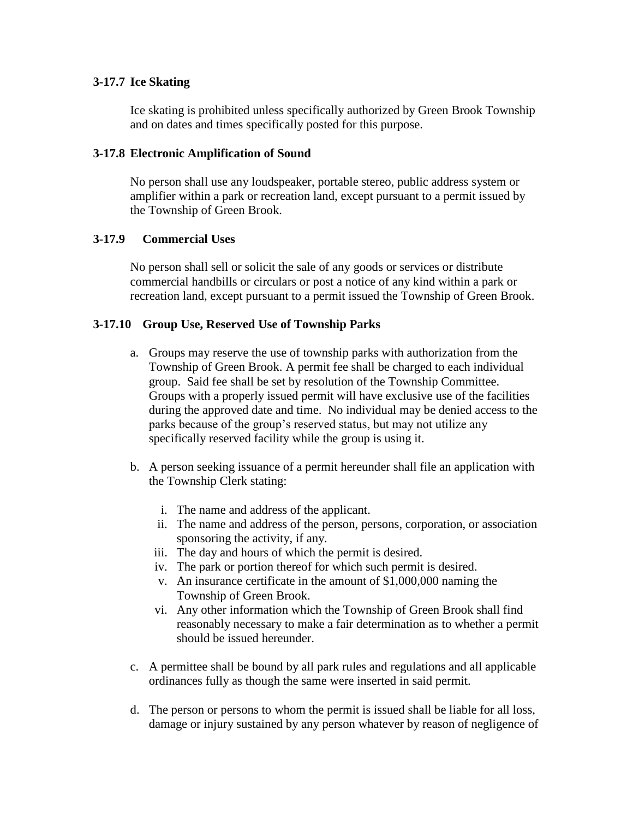# **3-17.7 Ice Skating**

Ice skating is prohibited unless specifically authorized by Green Brook Township and on dates and times specifically posted for this purpose.

# **3-17.8 Electronic Amplification of Sound**

No person shall use any loudspeaker, portable stereo, public address system or amplifier within a park or recreation land, except pursuant to a permit issued by the Township of Green Brook.

# **3-17.9 Commercial Uses**

No person shall sell or solicit the sale of any goods or services or distribute commercial handbills or circulars or post a notice of any kind within a park or recreation land, except pursuant to a permit issued the Township of Green Brook.

# **3-17.10 Group Use, Reserved Use of Township Parks**

- a. Groups may reserve the use of township parks with authorization from the Township of Green Brook. A permit fee shall be charged to each individual group. Said fee shall be set by resolution of the Township Committee. Groups with a properly issued permit will have exclusive use of the facilities during the approved date and time. No individual may be denied access to the parks because of the group's reserved status, but may not utilize any specifically reserved facility while the group is using it.
- b. A person seeking issuance of a permit hereunder shall file an application with the Township Clerk stating:
	- i. The name and address of the applicant.
	- ii. The name and address of the person, persons, corporation, or association sponsoring the activity, if any.
	- iii. The day and hours of which the permit is desired.
	- iv. The park or portion thereof for which such permit is desired.
	- v. An insurance certificate in the amount of \$1,000,000 naming the Township of Green Brook.
	- vi. Any other information which the Township of Green Brook shall find reasonably necessary to make a fair determination as to whether a permit should be issued hereunder.
- c. A permittee shall be bound by all park rules and regulations and all applicable ordinances fully as though the same were inserted in said permit.
- d. The person or persons to whom the permit is issued shall be liable for all loss, damage or injury sustained by any person whatever by reason of negligence of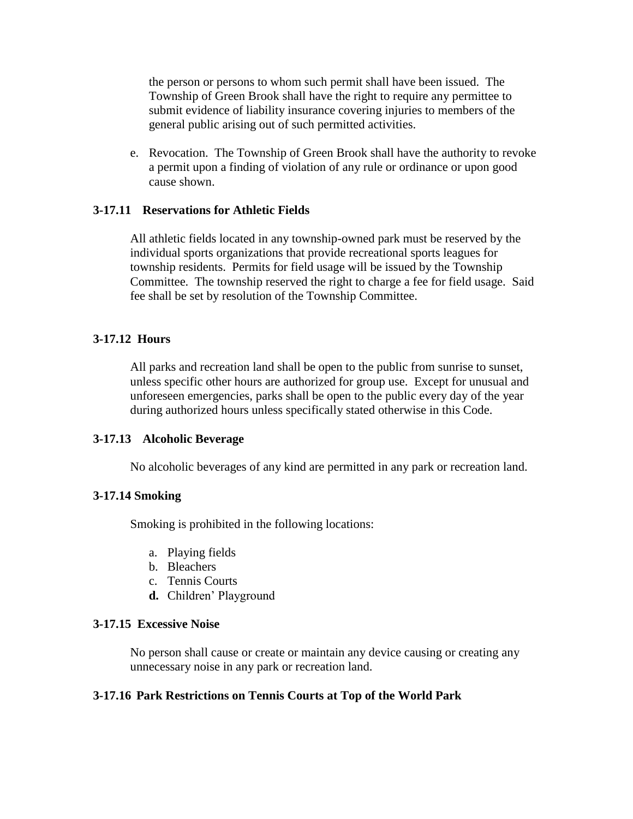the person or persons to whom such permit shall have been issued. The Township of Green Brook shall have the right to require any permittee to submit evidence of liability insurance covering injuries to members of the general public arising out of such permitted activities.

e. Revocation. The Township of Green Brook shall have the authority to revoke a permit upon a finding of violation of any rule or ordinance or upon good cause shown.

#### **3-17.11 Reservations for Athletic Fields**

All athletic fields located in any township-owned park must be reserved by the individual sports organizations that provide recreational sports leagues for township residents. Permits for field usage will be issued by the Township Committee. The township reserved the right to charge a fee for field usage. Said fee shall be set by resolution of the Township Committee.

#### **3-17.12 Hours**

All parks and recreation land shall be open to the public from sunrise to sunset, unless specific other hours are authorized for group use. Except for unusual and unforeseen emergencies, parks shall be open to the public every day of the year during authorized hours unless specifically stated otherwise in this Code.

#### **3-17.13 Alcoholic Beverage**

No alcoholic beverages of any kind are permitted in any park or recreation land.

#### **3-17.14 Smoking**

Smoking is prohibited in the following locations:

- a. Playing fields
- b. Bleachers
- c. Tennis Courts
- **d.** Children' Playground

#### **3-17.15 Excessive Noise**

No person shall cause or create or maintain any device causing or creating any unnecessary noise in any park or recreation land.

#### **3-17.16 Park Restrictions on Tennis Courts at Top of the World Park**